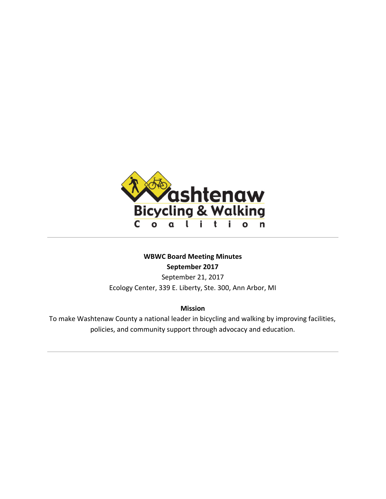

# **WBWC Board Meeting Minutes September 2017**

September 21, 2017 Ecology Center, 339 E. Liberty, Ste. 300, Ann Arbor, MI

## **Mission**

To make Washtenaw County a national leader in bicycling and walking by improving facilities, policies, and community support through advocacy and education.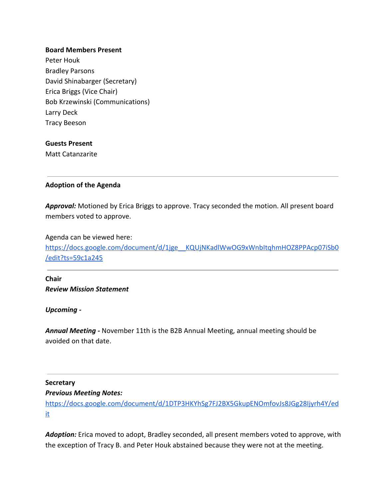### **Board Members Present**

Peter Houk Bradley Parsons David Shinabarger (Secretary) Erica Briggs (Vice Chair) Bob Krzewinski (Communications) Larry Deck Tracy Beeson

#### **Guests Present**

Matt Catanzarite

## **Adoption of the Agenda**

*Approval:* Motioned by Erica Briggs to approve. Tracy seconded the motion. All present board members voted to approve.

Agenda can be viewed here:

https://docs.google.com/document/d/1jge\_KQUjNKadlWwOG9xWnbItqhmHOZ8PPAcp07iSb0 [/edit?ts=59c1a245](https://docs.google.com/document/d/1jge__KQUjNKadlWwOG9xWnbItqhmHOZ8PPAcp07iSb0/edit?ts=59c1a245)

**Chair** *Review Mission Statement*

*Upcoming -*

*Annual Meeting -* November 11th is the B2B Annual Meeting, annual meeting should be avoided on that date.

#### **Secretary**

#### *Previous Meeting Notes:*

[https://docs.google.com/document/d/1DTP3HKYhSg7FJ2BX5GkupENOmfovJs8JGg28Ijyrh4Y/ed](https://docs.google.com/document/d/1DTP3HKYhSg7FJ2BX5GkupENOmfovJs8JGg28Ijyrh4Y/edit) [it](https://docs.google.com/document/d/1DTP3HKYhSg7FJ2BX5GkupENOmfovJs8JGg28Ijyrh4Y/edit)

Adoption: Erica moved to adopt, Bradley seconded, all present members voted to approve, with the exception of Tracy B. and Peter Houk abstained because they were not at the meeting.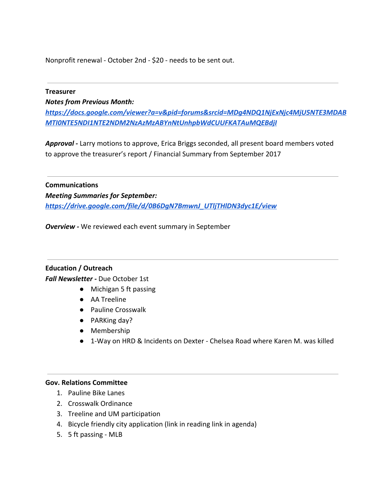Nonprofit renewal - October 2nd - \$20 - needs to be sent out.

#### **Treasurer**

*Notes from Previous Month:*

*[https://docs.google.com/viewer?a=v&pid=forums&srcid=MDg4NDQ1NjExNjc4MjU5NTE3MDAB](https://docs.google.com/viewer?a=v&pid=forums&srcid=MDg4NDQ1NjExNjc4MjU5NTE3MDABMTI0NTE5NDI1NTE2NDM2NzAzMzABYnNtUnhpbWdCUUFKATAuMQEBdjI) [MTI0NTE5NDI1NTE2NDM2NzAzMzABYnNtUnhpbWdCUUFKATAuMQEBdjI](https://docs.google.com/viewer?a=v&pid=forums&srcid=MDg4NDQ1NjExNjc4MjU5NTE3MDABMTI0NTE5NDI1NTE2NDM2NzAzMzABYnNtUnhpbWdCUUFKATAuMQEBdjI)*

*Approval -* Larry motions to approve, Erica Briggs seconded, all present board members voted to approve the treasurer's report / Financial Summary from September 2017

**Communications** *Meeting Summaries for September: [https://drive.google.com/file/d/0B6DgN7BmwnJ\\_UTljTHlDN3dyc1E/view](https://drive.google.com/file/d/0B6DgN7BmwnJ_UTljTHlDN3dyc1E/view)*

*Overview -* We reviewed each event summary in September

**Education / Outreach** *Fall Newsletter -* Due October 1st

- Michigan 5 ft passing
	- AA Treeline
	- Pauline Crosswalk
	- PARKing day?
	- Membership
	- 1-Way on HRD & Incidents on Dexter Chelsea Road where Karen M. was killed

## **Gov. Relations Committee**

- 1. Pauline Bike Lanes
- 2. Crosswalk Ordinance
- 3. Treeline and UM participation
- 4. Bicycle friendly city application (link in reading link in agenda)
- 5. 5 ft passing MLB